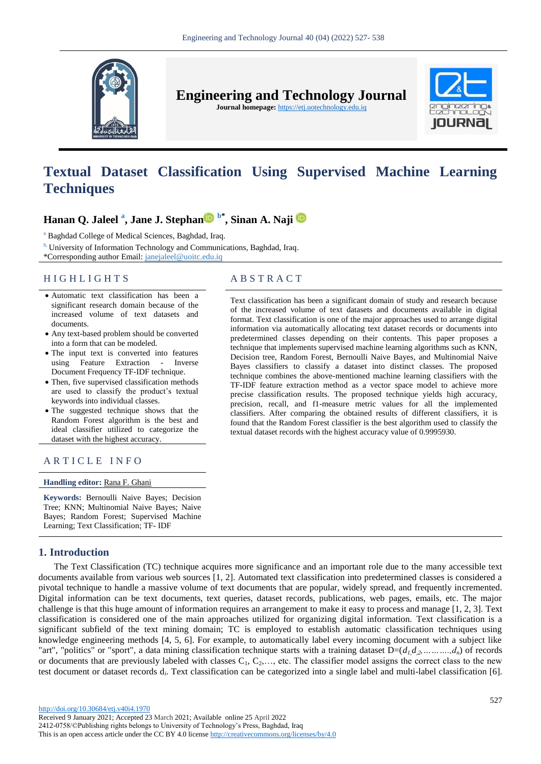

**Engineering and Technology Journal** 

**Journal homepage:** https://etj.uotechnology.edu.iq



# **Textual Dataset Classification Using Supervised Machine Learning Techniques**

## **Hanan Q. Jaleel <sup>a</sup> , Jane J. Stepha[n](https://orcid.org/0000-0002-2854-4232) b\* , Sinan A. Naji**

<sup>a</sup> Baghdad College of Medical Sciences, Baghdad, Iraq.

<sup>b,</sup> University of Information Technology and Communications, Baghdad, Iraq.

\*Corresponding author Email: janejaleel@uoitc.edu.iq

### H I G H L I G H T S A B S T R A C T

- Automatic text classification has been a significant research domain because of the increased volume of text datasets and documents.
- Any text-based problem should be converted into a form that can be modeled.
- The input text is converted into features using Feature Extraction - Inverse Document Frequency TF-IDF technique.
- Then, five supervised classification methods are used to classify the product's textual keywords into individual classes.
- The suggested technique shows that the Random Forest algorithm is the best and ideal classifier utilized to categorize the dataset with the highest accuracy.

### ARTICLE INFO

### **Handling editor:** [Rana F. Ghani](https://etj.uotechnology.edu.iq/journal/editorial.board?edbc=7782)

**Keywords:** Bernoulli Naive Bayes; Decision Tree; KNN; Multinomial Naive Bayes; Naive Bayes; Random Forest; Supervised Machine Learning; Text Classification; TF- IDF

### **1. Introduction**

The Text Classification (TC) technique acquires more significance and an important role due to the many accessible text documents available from various web sources [1, 2]. Automated text classification into predetermined classes is considered a pivotal technique to handle a massive volume of text documents that are popular, widely spread, and frequently incremented. Digital information can be text documents, text queries, dataset records, publications, web pages, emails, etc. The major challenge is that this huge amount of information requires an arrangement to make it easy to process and manage [1, 2, 3]. Text classification is considered one of the main approaches utilized for organizing digital information. Text classification is a significant subfield of the text mining domain; TC is employed to establish automatic classification techniques using knowledge engineering methods [4, 5, 6]. For example, to automatically label every incoming document with a subject like "art", "politics" or "sport", a data mining classification technique starts with a training dataset  $D=(d_1, d_2, \ldots, d_n)$  of records or documents that are previously labeled with classes  $C_1, C_2, \ldots$ , etc. The classifier model assigns the correct class to the new test document or dataset records d<sub>i</sub>. Text classification can be categorized into a single label and multi-label classification [6].

### of the increased volume of text datasets and documents available in digital format. Text classification is one of the major approaches used to arrange digital information via automatically allocating text dataset records or documents into predetermined classes depending on their contents. This paper proposes a technique that implements supervised machine learning algorithms such as KNN, Decision tree, Random Forest, Bernoulli Naive Bayes, and Multinomial Naive Bayes classifiers to classify a dataset into distinct classes. The proposed technique combines the above-mentioned machine learning classifiers with the

TF-IDF feature extraction method as a vector space model to achieve more precise classification results. The proposed technique yields high accuracy, precision, recall, and f1-measure metric values for all the implemented classifiers. After comparing the obtained results of different classifiers, it is found that the Random Forest classifier is the best algorithm used to classify the textual dataset records with the highest accuracy value of 0.9995930.

Text classification has been a significant domain of study and research because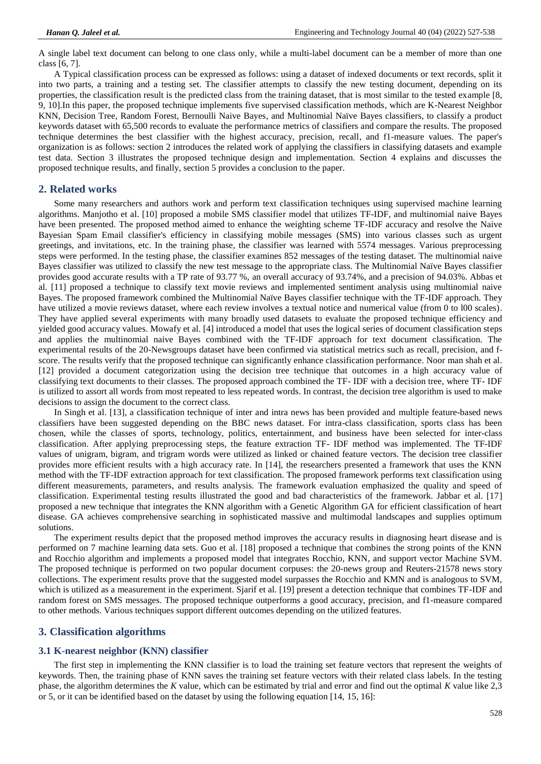A single label text document can belong to one class only, while a multi-label document can be a member of more than one class [6, 7].

A Typical classification process can be expressed as follows: using a dataset of indexed documents or text records, split it into two parts, a training and a testing set. The classifier attempts to classify the new testing document, depending on its properties, the classification result is the predicted class from the training dataset, that is most similar to the tested example [8, 9, 10].In this paper, the proposed technique implements five supervised classification methods, which are K-Nearest Neighbor KNN, Decision Tree, Random Forest, Bernoulli Naive Bayes, and Multinomial Naïve Bayes classifiers, to classify a product keywords dataset with 65,500 records to evaluate the performance metrics of classifiers and compare the results. The proposed technique determines the best classifier with the highest accuracy, precision, recall, and f1-measure values. The paper's organization is as follows: section 2 introduces the related work of applying the classifiers in classifying datasets and example test data. Section 3 illustrates the proposed technique design and implementation. Section 4 explains and discusses the proposed technique results, and finally, section 5 provides a conclusion to the paper.

### **2. Related works**

Some many researchers and authors work and perform text classification techniques using supervised machine learning algorithms. Manjotho et al. [10] proposed a mobile SMS classifier model that utilizes TF-IDF, and multinomial naive Bayes have been presented. The proposed method aimed to enhance the weighting scheme TF-IDF accuracy and resolve the Naive Bayesian Spam Email classifier's efficiency in classifying mobile messages (SMS) into various classes such as urgent greetings, and invitations, etc. In the training phase, the classifier was learned with 5574 messages. Various preprocessing steps were performed. In the testing phase, the classifier examines 852 messages of the testing dataset. The multinomial naive Bayes classifier was utilized to classify the new test message to the appropriate class. The Multinomial Naïve Bayes classifier provides good accurate results with a TP rate of 93.77 %, an overall accuracy of 93.74%, and a precision of 94.03%. Abbas et al. [11] proposed a technique to classify text movie reviews and implemented sentiment analysis using multinomial naive Bayes. The proposed framework combined the Multinomial Naïve Bayes classifier technique with the TF-IDF approach. They have utilized a movie reviews dataset, where each review involves a textual notice and numerical value (from 0 to 100 scales). They have applied several experiments with many broadly used datasets to evaluate the proposed technique efficiency and yielded good accuracy values. Mowafy et al. [4] introduced a model that uses the logical series of document classification steps and applies the multinomial naive Bayes combined with the TF-IDF approach for text document classification. The experimental results of the 20-Newsgroups dataset have been confirmed via statistical metrics such as recall, precision, and fscore. The results verify that the proposed technique can significantly enhance classification performance. Noor man shah et al. [12] provided a document categorization using the decision tree technique that outcomes in a high accuracy value of classifying text documents to their classes. The proposed approach combined the TF- IDF with a decision tree, where TF- IDF is utilized to assort all words from most repeated to less repeated words. In contrast, the decision tree algorithm is used to make decisions to assign the document to the correct class.

In Singh et al. [13], a classification technique of inter and intra news has been provided and multiple feature-based news classifiers have been suggested depending on the BBC news dataset. For intra-class classification, sports class has been chosen, while the classes of sports, technology, politics, entertainment, and business have been selected for inter-class classification. After applying preprocessing steps, the feature extraction TF- IDF method was implemented. The TF-IDF values of unigram, bigram, and trigram words were utilized as linked or chained feature vectors. The decision tree classifier provides more efficient results with a high accuracy rate. In [14], the researchers presented a framework that uses the KNN method with the TF-IDF extraction approach for text classification. The proposed framework performs text classification using different measurements, parameters, and results analysis. The framework evaluation emphasized the quality and speed of classification. Experimental testing results illustrated the good and bad characteristics of the framework. Jabbar et al. [17] proposed a new technique that integrates the KNN algorithm with a Genetic Algorithm GA for efficient classification of heart disease. GA achieves comprehensive searching in sophisticated massive and multimodal landscapes and supplies optimum solutions.

The experiment results depict that the proposed method improves the accuracy results in diagnosing heart disease and is performed on 7 machine learning data sets. Guo et al. [18] proposed a technique that combines the strong points of the KNN and Rocchio algorithm and implements a proposed model that integrates Rocchio, KNN, and support vector Machine SVM. The proposed technique is performed on two popular document corpuses: the 20-news group and Reuters-21578 news story collections. The experiment results prove that the suggested model surpasses the Rocchio and KMN and is analogous to SVM, which is utilized as a measurement in the experiment. Sjarif et al. [19] present a detection technique that combines TF-IDF and random forest on SMS messages. The proposed technique outperforms a good accuracy, precision, and f1-measure compared to other methods. Various techniques support different outcomes depending on the utilized features.

### **3. Classification algorithms**

### **3.1 K-nearest neighbor (KNN) classifier**

The first step in implementing the KNN classifier is to load the training set feature vectors that represent the weights of keywords. Then, the training phase of KNN saves the training set feature vectors with their related class labels. In the testing phase, the algorithm determines the *K* value, which can be estimated by trial and error and find out the optimal *K* value like 2,3 or 5, or it can be identified based on the dataset by using the following equation [14, 15, 16]: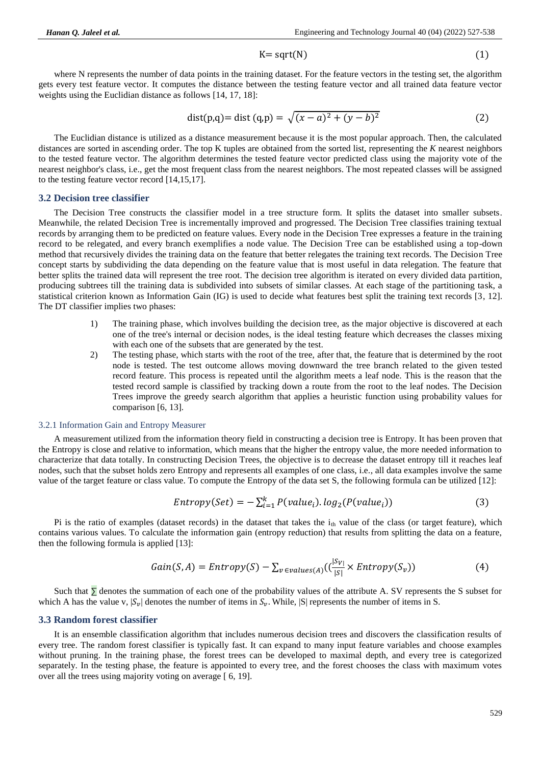$K = sqrt(N)$  (1)

where N represents the number of data points in the training dataset. For the feature vectors in the testing set, the algorithm gets every test feature vector. It computes the distance between the testing feature vector and all trained data feature vector weights using the Euclidian distance as follows [14, 17, 18]:

$$
dist(p,q) = dist(q,p) = \sqrt{(x-a)^2 + (y-b)^2}
$$
 (2)

The Euclidian distance is utilized as a distance measurement because it is the most popular approach. Then, the calculated distances are sorted in ascending order. The top K tuples are obtained from the sorted list, representing the *K* nearest neighbors to the tested feature vector. The algorithm determines the tested feature vector predicted class using the majority vote of the nearest neighbor's class, i.e., get the most frequent class from the nearest neighbors. The most repeated classes will be assigned to the testing feature vector record [14,15,17].

#### **3.2 Decision tree classifier**

The Decision Tree constructs the classifier model in a tree structure form. It splits the dataset into smaller subsets. Meanwhile, the related Decision Tree is incrementally improved and progressed. The Decision Tree classifies training textual records by arranging them to be predicted on feature values. Every node in the Decision Tree expresses a feature in the training record to be relegated, and every branch exemplifies a node value. The Decision Tree can be established using a top-down method that recursively divides the training data on the feature that better relegates the training text records. The Decision Tree concept starts by subdividing the data depending on the feature value that is most useful in data relegation. The feature that better splits the trained data will represent the tree root. The decision tree algorithm is iterated on every divided data partition, producing subtrees till the training data is subdivided into subsets of similar classes. At each stage of the partitioning task, a statistical criterion known as Information Gain (IG) is used to decide what features best split the training text records [3, 12]. The DT classifier implies two phases:

- 1) The training phase, which involves building the decision tree, as the major objective is discovered at each one of the tree's internal or decision nodes, is the ideal testing feature which decreases the classes mixing with each one of the subsets that are generated by the test.
- 2) The testing phase, which starts with the root of the tree, after that, the feature that is determined by the root node is tested. The test outcome allows moving downward the tree branch related to the given tested record feature. This process is repeated until the algorithm meets a leaf node. This is the reason that the tested record sample is classified by tracking down a route from the root to the leaf nodes. The Decision Trees improve the greedy search algorithm that applies a heuristic function using probability values for comparison [6, 13].

#### 3.2.1 Information Gain and Entropy Measurer

A measurement utilized from the information theory field in constructing a decision tree is Entropy. It has been proven that the Entropy is close and relative to information, which means that the higher the entropy value, the more needed information to characterize that data totally. In constructing Decision Trees, the objective is to decrease the dataset entropy till it reaches leaf nodes, such that the subset holds zero Entropy and represents all examples of one class, i.e., all data examples involve the same value of the target feature or class value. To compute the Entropy of the data set S, the following formula can be utilized [12]:

$$
Entropy(Set) = -\sum_{i=1}^{k} P(value_i). log_2(P(value_i))
$$
\n(3)

Pi is the ratio of examples (dataset records) in the dataset that takes the  $i_{th}$  value of the class (or target feature), which contains various values. To calculate the information gain (entropy reduction) that results from splitting the data on a feature, then the following formula is applied [13]:

$$
Gain(S, A) = Entropy(S) - \sum_{v \in values(A)} ((\frac{|S_v|}{|S|} \times Entropy(S_v))
$$
 (4)

Such that ∑ denotes the summation of each one of the probability values of the attribute A. SV represents the S subset for which A has the value v,  $|S_{\nu}|$  denotes the number of items in  $S_{\nu}$ . While,  $|S|$  represents the number of items in S.

### **3.3 Random forest classifier**

It is an ensemble classification algorithm that includes numerous decision trees and discovers the classification results of every tree. The random forest classifier is typically fast. It can expand to many input feature variables and choose examples without pruning. In the training phase, the forest trees can be developed to maximal depth, and every tree is categorized separately. In the testing phase, the feature is appointed to every tree, and the forest chooses the class with maximum votes over all the trees using majority voting on average [ 6, 19].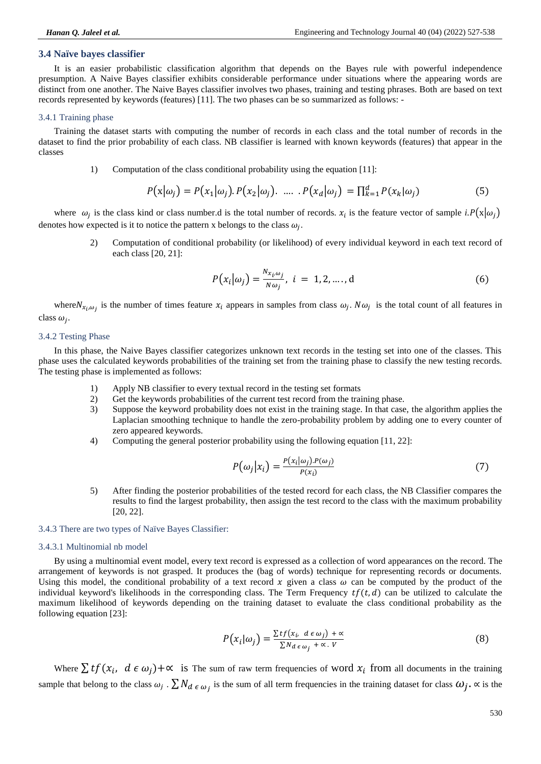### **3.4 Naïve bayes classifier**

It is an easier probabilistic classification algorithm that depends on the Bayes rule with powerful independence presumption. A Naive Bayes classifier exhibits considerable performance under situations where the appearing words are distinct from one another. The Naive Bayes classifier involves two phases, training and testing phrases. Both are based on text records represented by keywords (features) [11]. The two phases can be so summarized as follows: -

#### 3.4.1 Training phase

Training the dataset starts with computing the number of records in each class and the total number of records in the dataset to find the prior probability of each class. NB classifier is learned with known keywords (features) that appear in the classes

1) Computation of the class conditional probability using the equation [11]:

$$
P(\mathbf{x}|\omega_j) = P(x_1|\omega_j). P(x_2|\omega_j). \quad \dots \quad P(x_d|\omega_j) = \prod_{k=1}^d P(x_k|\omega_j)
$$
 (5)

where  $\omega_i$  is the class kind or class number.d is the total number of records.  $x_i$  is the feature vector of sample *i.P*( $x|\omega_i$ ) denotes how expected is it to notice the pattern x belongs to the class  $\omega_i$ .

> 2) Computation of conditional probability (or likelihood) of every individual keyword in each text record of each class [20, 21]:

$$
P(x_i|\omega_j) = \frac{N_{x_i\omega_j}}{N\omega_j}, i = 1, 2, \dots, d
$$
 (6)

where  $N_{x_i,\omega_i}$  is the number of times feature  $x_i$  appears in samples from class  $\omega_j$ .  $N\omega_j$  is the total count of all features in class  $\omega_i$ .

#### 3.4.2 Testing Phase

In this phase, the Naive Bayes classifier categorizes unknown text records in the testing set into one of the classes. This phase uses the calculated keywords probabilities of the training set from the training phase to classify the new testing records. The testing phase is implemented as follows:

- 1) Apply NB classifier to every textual record in the testing set formats
- 2) Get the keywords probabilities of the current test record from the training phase.
- 3) Suppose the keyword probability does not exist in the training stage. In that case, the algorithm applies the Laplacian smoothing technique to handle the zero-probability problem by adding one to every counter of zero appeared keywords.
- 4) Computing the general posterior probability using the following equation [11, 22]:

$$
P(\omega_j | x_i) = \frac{P(x_i | \omega_j) P(\omega_j)}{P(x_i)}
$$
\n<sup>(7)</sup>

5) After finding the posterior probabilities of the tested record for each class, the NB Classifier compares the results to find the largest probability, then assign the test record to the class with the maximum probability [20, 22].

### 3.4.3 There are two types of Naïve Bayes Classifier:

#### 3.4.3.1 Multinomial nb model

By using a multinomial event model, every text record is expressed as a collection of word appearances on the record. The arrangement of keywords is not grasped. It produces the (bag of words) technique for representing records or documents. Using this model, the conditional probability of a text record x given a class  $\omega$  can be computed by the product of the individual keyword's likelihoods in the corresponding class. The Term Frequency  $tf(t, d)$  can be utilized to calculate the maximum likelihood of keywords depending on the training dataset to evaluate the class conditional probability as the following equation [23]:

$$
P(x_i|\omega_j) = \frac{\sum tf(x_i, d \in \omega_j) + \alpha}{\sum N_{d \in \omega_j} + \alpha \cdot V}
$$
 (8)

Where  $\sum tf(x_i, d \in \omega_i)+\infty$  is The sum of raw term frequencies of word  $x_i$  from all documents in the training sample that belong to the class  $\omega_i$ .  $\sum N_{d \epsilon \omega_i}$  is the sum of all term frequencies in the training dataset for class  $\omega_i$ .  $\propto$  is the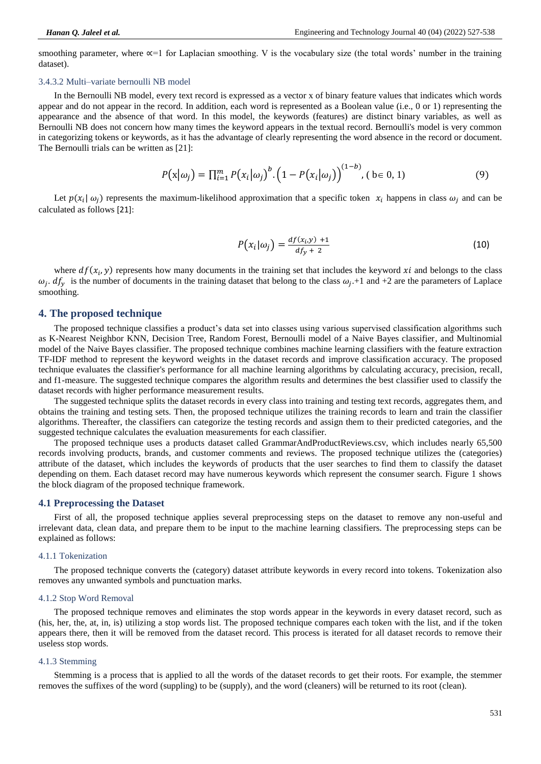smoothing parameter, where  $\infty = 1$  for Laplacian smoothing. V is the vocabulary size (the total words' number in the training dataset).

#### 3.4.3.2 Multi–variate bernoulli NB model

In the Bernoulli NB model, every text record is expressed as a vector x of binary feature values that indicates which words appear and do not appear in the record. In addition, each word is represented as a Boolean value (i.e., 0 or 1) representing the appearance and the absence of that word. In this model, the keywords (features) are distinct binary variables, as well as Bernoulli NB does not concern how many times the keyword appears in the textual record. Bernoulli's model is very common in categorizing tokens or keywords, as it has the advantage of clearly representing the word absence in the record or document. The Bernoulli trials can be written as [21]:

$$
P(\mathbf{x}|\omega_j) = \prod_{i=1}^m P(x_i|\omega_j)^b \cdot (1 - P(x_i|\omega_j))^{(1-b)}, \quad (b \in 0, 1)
$$
 (9)

Let  $p(x_i | \omega_i)$  represents the maximum-likelihood approximation that a specific token  $x_i$  happens in class  $\omega_i$  and can be calculated as follows [21]:

$$
P(x_i|\omega_j) = \frac{df(x_i, y) + 1}{df_y + 2} \tag{10}
$$

where  $df(x_i, y)$  represents how many documents in the training set that includes the keyword xi and belongs to the class  $\omega_i$ .  $df_v$  is the number of documents in the training dataset that belong to the class  $\omega_i$ . 1 and +2 are the parameters of Laplace smoothing.

### **4. The proposed technique**

The proposed technique classifies a product's data set into classes using various supervised classification algorithms such as K-Nearest Neighbor KNN, Decision Tree, Random Forest, Bernoulli model of a Naive Bayes classifier, and Multinomial model of the Naive Bayes classifier. The proposed technique combines machine learning classifiers with the feature extraction TF-IDF method to represent the keyword weights in the dataset records and improve classification accuracy. The proposed technique evaluates the classifier's performance for all machine learning algorithms by calculating accuracy, precision, recall, and f1-measure. The suggested technique compares the algorithm results and determines the best classifier used to classify the dataset records with higher performance measurement results.

The suggested technique splits the dataset records in every class into training and testing text records, aggregates them, and obtains the training and testing sets. Then, the proposed technique utilizes the training records to learn and train the classifier algorithms. Thereafter, the classifiers can categorize the testing records and assign them to their predicted categories, and the suggested technique calculates the evaluation measurements for each classifier.

The proposed technique uses a products dataset called GrammarAndProductReviews.csv, which includes nearly 65,500 records involving products, brands, and customer comments and reviews. The proposed technique utilizes the (categories) attribute of the dataset, which includes the keywords of products that the user searches to find them to classify the dataset depending on them. Each dataset record may have numerous keywords which represent the consumer search. Figure 1 shows the block diagram of the proposed technique framework.

#### **4.1 Preprocessing the Dataset**

First of all, the proposed technique applies several preprocessing steps on the dataset to remove any non-useful and irrelevant data, clean data, and prepare them to be input to the machine learning classifiers. The preprocessing steps can be explained as follows:

#### 4.1.1 Tokenization

The proposed technique converts the (category) dataset attribute keywords in every record into tokens. Tokenization also removes any unwanted symbols and punctuation marks.

### 4.1.2 Stop Word Removal

The proposed technique removes and eliminates the stop words appear in the keywords in every dataset record, such as (his, her, the, at, in, is) utilizing a stop words list. The proposed technique compares each token with the list, and if the token appears there, then it will be removed from the dataset record. This process is iterated for all dataset records to remove their useless stop words.

#### 4.1.3 Stemming

Stemming is a process that is applied to all the words of the dataset records to get their roots. For example, the stemmer removes the suffixes of the word (suppling) to be (supply), and the word (cleaners) will be returned to its root (clean).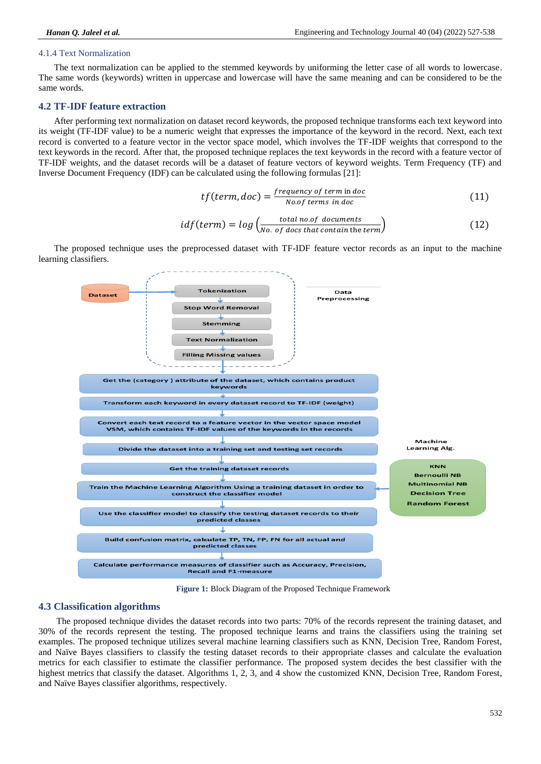### 4.1.4 Text Normalization

The text normalization can be applied to the stemmed keywords by uniforming the letter case of all words to lowercase. The same words (keywords) written in uppercase and lowercase will have the same meaning and can be considered to be the same words.

### **4.2 TF-IDF feature extraction**

After performing text normalization on dataset record keywords, the proposed technique transforms each text keyword into its weight (TF-IDF value) to be a numeric weight that expresses the importance of the keyword in the record. Next, each text record is converted to a feature vector in the vector space model, which involves the TF-IDF weights that correspond to the text keywords in the record. After that, the proposed technique replaces the text keywords in the record with a feature vector of TF-IDF weights, and the dataset records will be a dataset of feature vectors of keyword weights. Term Frequency (TF) and Inverse Document Frequency (IDF) can be calculated using the following formulas [21]:

$$
tf(term, doc) = \frac{frequency\ of\ term\ in\ doc}{No\ of\ terms\ in\ doc}
$$
\n(11)

$$
idf(term) = log \left( \frac{total \, no \, of \, documents}{No \, of \, docs \, that \, contain \, the \, term} \right) \tag{12}
$$

The proposed technique uses the preprocessed dataset with TF-IDF feature vector records as an input to the machine learning classifiers.



**Figure 1:** Block Diagram of the Proposed Technique Framework

### **4.3 Classification algorithms**

The proposed technique divides the dataset records into two parts: 70% of the records represent the training dataset, and 30% of the records represent the testing. The proposed technique learns and trains the classifiers using the training set examples. The proposed technique utilizes several machine learning classifiers such as KNN, Decision Tree, Random Forest, and Naïve Bayes classifiers to classify the testing dataset records to their appropriate classes and calculate the evaluation metrics for each classifier to estimate the classifier performance. The proposed system decides the best classifier with the highest metrics that classify the dataset. Algorithms 1, 2, 3, and 4 show the customized KNN, Decision Tree, Random Forest, and Naïve Bayes classifier algorithms, respectively.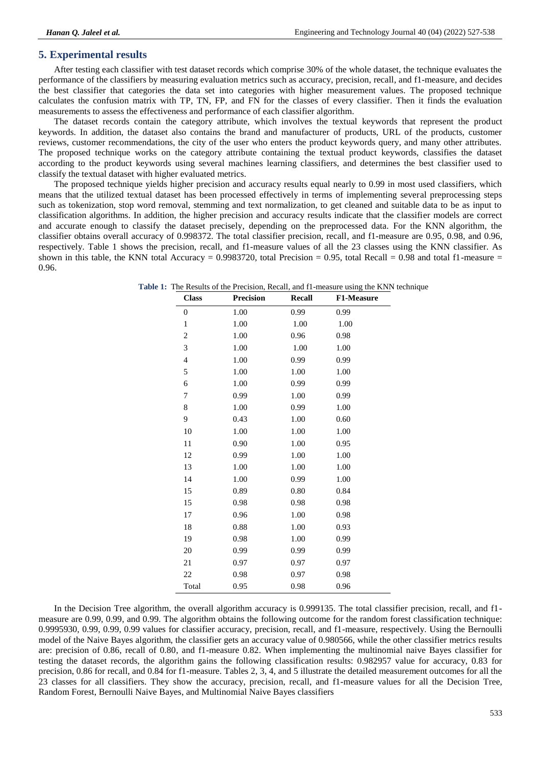### **5. Experimental results**

After testing each classifier with test dataset records which comprise 30% of the whole dataset, the technique evaluates the performance of the classifiers by measuring evaluation metrics such as accuracy, precision, recall, and f1-measure, and decides the best classifier that categories the data set into categories with higher measurement values. The proposed technique calculates the confusion matrix with TP, TN, FP, and FN for the classes of every classifier. Then it finds the evaluation measurements to assess the effectiveness and performance of each classifier algorithm.

The dataset records contain the category attribute, which involves the textual keywords that represent the product keywords. In addition, the dataset also contains the brand and manufacturer of products, URL of the products, customer reviews, customer recommendations, the city of the user who enters the product keywords query, and many other attributes. The proposed technique works on the category attribute containing the textual product keywords, classifies the dataset according to the product keywords using several machines learning classifiers, and determines the best classifier used to classify the textual dataset with higher evaluated metrics.

The proposed technique yields higher precision and accuracy results equal nearly to 0.99 in most used classifiers, which means that the utilized textual dataset has been processed effectively in terms of implementing several preprocessing steps such as tokenization, stop word removal, stemming and text normalization, to get cleaned and suitable data to be as input to classification algorithms. In addition, the higher precision and accuracy results indicate that the classifier models are correct and accurate enough to classify the dataset precisely, depending on the preprocessed data. For the KNN algorithm, the classifier obtains overall accuracy of 0.998372. The total classifier precision, recall, and f1-measure are 0.95, 0.98, and 0.96, respectively. Table 1 shows the precision, recall, and f1-measure values of all the 23 classes using the KNN classifier. As shown in this table, the KNN total Accuracy = 0.9983720, total Precision = 0.95, total Recall = 0.98 and total f1-measure = 0.96.

**Table 1:** The Results of the Precision, Recall, and f1-measure using the KNN technique

| <b>Class</b>     | <b>Precision</b> | <b>Recall</b> | <b>F1-Measure</b> |
|------------------|------------------|---------------|-------------------|
| $\boldsymbol{0}$ | 1.00             | 0.99          | 0.99              |
| $\mathbf{1}$     | 1.00             | 1.00          | 1.00              |
| $\overline{c}$   | 1.00             | 0.96          | 0.98              |
| 3                | 1.00             | 1.00          | 1.00              |
| $\overline{4}$   | 1.00             | 0.99          | 0.99              |
| 5                | 1.00             | 1.00          | 1.00              |
| 6                | 1.00             | 0.99          | 0.99              |
| 7                | 0.99             | 1.00          | 0.99              |
| 8                | 1.00             | 0.99          | 1.00              |
| 9                | 0.43             | 1.00          | 0.60              |
| 10               | 1.00             | 1.00          | 1.00              |
| 11               | 0.90             | 1.00          | 0.95              |
| 12               | 0.99             | 1.00          | 1.00              |
| 13               | 1.00             | 1.00          | 1.00              |
| 14               | 1.00             | 0.99          | 1.00              |
| 15               | 0.89             | 0.80          | 0.84              |
| 15               | 0.98             | 0.98          | 0.98              |
| 17               | 0.96             | 1.00          | 0.98              |
| 18               | 0.88             | 1.00          | 0.93              |
| 19               | 0.98             | 1.00          | 0.99              |
| 20               | 0.99             | 0.99          | 0.99              |
| 21               | 0.97             | 0.97          | 0.97              |
| 22               | 0.98             | 0.97          | 0.98              |
| Total            | 0.95             | 0.98          | 0.96              |

In the Decision Tree algorithm, the overall algorithm accuracy is 0.999135. The total classifier precision, recall, and f1 measure are 0.99, 0.99, and 0.99. The algorithm obtains the following outcome for the random forest classification technique: 0.9995930, 0.99, 0.99, 0.99 values for classifier accuracy, precision, recall, and f1-measure, respectively. Using the Bernoulli model of the Naive Bayes algorithm, the classifier gets an accuracy value of 0.980566, while the other classifier metrics results are: precision of 0.86, recall of 0.80, and f1-measure 0.82. When implementing the multinomial naive Bayes classifier for testing the dataset records, the algorithm gains the following classification results: 0.982957 value for accuracy, 0.83 for precision, 0.86 for recall, and 0.84 for f1-measure. Tables 2, 3, 4, and 5 illustrate the detailed measurement outcomes for all the 23 classes for all classifiers. They show the accuracy, precision, recall, and f1-measure values for all the Decision Tree, Random Forest, Bernoulli Naive Bayes, and Multinomial Naive Bayes classifiers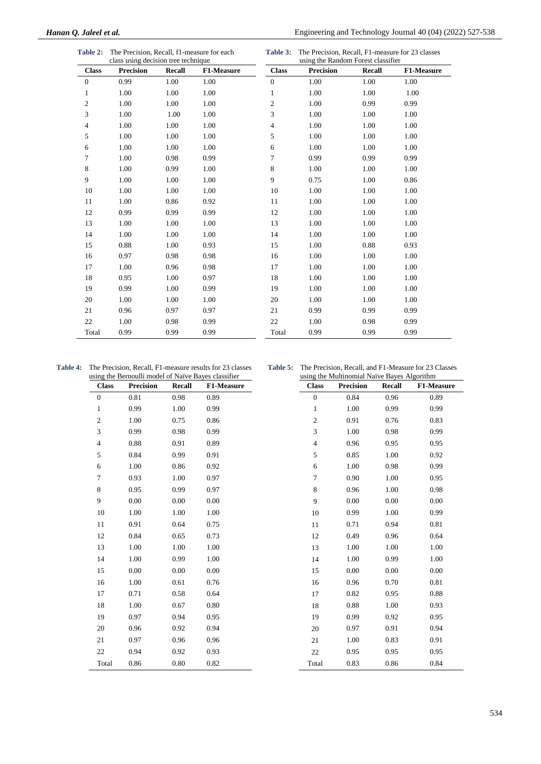| <b>Table 2:</b> | The Precision, Recall, f1-measure for each |
|-----------------|--------------------------------------------|
|                 | class using decision tree technique        |

**Table 3:** The Precision, Recall, F1-measure for 23 classes using the Random Forest classifier

|                  | class using decision tree technique |        |            |                  | using the Kandom Porest Classifier |        |            |  |
|------------------|-------------------------------------|--------|------------|------------------|------------------------------------|--------|------------|--|
| <b>Class</b>     | <b>Precision</b>                    | Recall | F1-Measure | <b>Class</b>     | <b>Precision</b>                   | Recall | F1-Measure |  |
| $\boldsymbol{0}$ | 0.99                                | 1.00   | 1.00       | $\boldsymbol{0}$ | 1.00                               | 1.00   | 1.00       |  |
| $\mathbf{1}$     | 1.00                                | 1.00   | 1.00       | 1                | 1.00                               | 1.00   | 1.00       |  |
| $\sqrt{2}$       | 1.00                                | 1.00   | 1.00       | $\overline{c}$   | 1.00                               | 0.99   | 0.99       |  |
| 3                | 1.00                                | 1.00   | 1.00       | 3                | 1.00                               | 1.00   | 1.00       |  |
| $\overline{4}$   | 1.00                                | 1.00   | 1.00       | 4                | 1.00                               | 1.00   | 1.00       |  |
| $\sqrt{5}$       | 1.00                                | 1.00   | 1.00       | 5                | 1.00                               | 1.00   | 1.00       |  |
| 6                | 1.00                                | 1.00   | 1.00       | 6                | 1.00                               | 1.00   | 1.00       |  |
| $7\phantom{.0}$  | 1.00                                | 0.98   | 0.99       | $\overline{7}$   | 0.99                               | 0.99   | 0.99       |  |
| $\,$ 8 $\,$      | 1.00                                | 0.99   | 1.00       | 8                | 1.00                               | 1.00   | 1.00       |  |
| $\boldsymbol{9}$ | 1.00                                | 1.00   | 1.00       | 9                | 0.75                               | 1.00   | 0.86       |  |
| 10               | 1.00                                | 1.00   | 1.00       | 10               | 1.00                               | 1.00   | 1.00       |  |
| 11               | 1.00                                | 0.86   | 0.92       | 11               | 1.00                               | 1.00   | 1.00       |  |
| 12               | 0.99                                | 0.99   | 0.99       | 12               | 1.00                               | 1.00   | 1.00       |  |
| 13               | 1.00                                | 1.00   | 1.00       | 13               | 1.00                               | 1.00   | 1.00       |  |
| 14               | 1.00                                | 1.00   | 1.00       | 14               | 1.00                               | 1.00   | 1.00       |  |
| 15               | 0.88                                | 1.00   | 0.93       | 15               | 1.00                               | 0.88   | 0.93       |  |
| 16               | 0.97                                | 0.98   | 0.98       | 16               | 1.00                               | 1.00   | 1.00       |  |
| 17               | 1.00                                | 0.96   | 0.98       | 17               | 1.00                               | 1.00   | 1.00       |  |
| 18               | 0.95                                | 1.00   | 0.97       | 18               | 1.00                               | 1.00   | 1.00       |  |
| 19               | 0.99                                | 1.00   | 0.99       | 19               | 1.00                               | 1.00   | 1.00       |  |
| 20               | 1.00                                | 1.00   | 1.00       | 20               | 1.00                               | 1.00   | 1.00       |  |
| 21               | 0.96                                | 0.97   | 0.97       | 21               | 0.99                               | 0.99   | 0.99       |  |
| 22               | 1.00                                | 0.98   | 0.99       | 22               | 1.00                               | 0.98   | 0.99       |  |
| Total            | 0.99                                | 0.99   | 0.99       | Total            | 0.99                               | 0.99   | 0.99       |  |
|                  |                                     |        |            |                  |                                    |        |            |  |

**Table 4:** The Precision, Recall, F1-measure results for 23 classes using the Bernoulli model of Naïve Bayes classifier

**Table 5:** The Precision, Recall, and F1-Measure for 23 Classes using the Multinomial Naïve Bayes Algorithm

| <b>Class</b>   | asing the Bernouin moder of Fun to Bayes classifier<br><b>Precision</b> | Recall | <b>F1-Measure</b> | <b>Class</b>   | $\frac{1}{2}$ and manifesting that $\frac{1}{2}$ bayes the primary<br><b>Precision</b> | Recall | <b>F1-Measure</b> |
|----------------|-------------------------------------------------------------------------|--------|-------------------|----------------|----------------------------------------------------------------------------------------|--------|-------------------|
| $\mathbf{0}$   | 0.81                                                                    | 0.98   | 0.89              | $\overline{0}$ | 0.84                                                                                   | 0.96   | 0.89              |
| $\mathbf{1}$   | 0.99                                                                    | 1.00   | 0.99              | $\mathbf{1}$   | 1.00                                                                                   | 0.99   | 0.99              |
| $\sqrt{2}$     | 1.00                                                                    | 0.75   | 0.86              | $\sqrt{2}$     | 0.91                                                                                   | 0.76   | 0.83              |
| 3              | 0.99                                                                    | 0.98   | 0.99              | 3              | 1.00                                                                                   | 0.98   | 0.99              |
| $\overline{4}$ | 0.88                                                                    | 0.91   | 0.89              | $\overline{4}$ | 0.96                                                                                   | 0.95   | 0.95              |
| 5              | 0.84                                                                    | 0.99   | 0.91              | 5              | 0.85                                                                                   | 1.00   | 0.92              |
| 6              | 1.00                                                                    | 0.86   | 0.92              | 6              | 1.00                                                                                   | 0.98   | 0.99              |
| $\overline{7}$ | 0.93                                                                    | 1.00   | 0.97              | $\tau$         | 0.90                                                                                   | 1.00   | 0.95              |
| 8              | 0.95                                                                    | 0.99   | 0.97              | 8              | 0.96                                                                                   | 1.00   | 0.98              |
| 9              | 0.00                                                                    | 0.00   | 0.00              | 9              | 0.00                                                                                   | 0.00   | 0.00              |
| 10             | 1.00                                                                    | 1.00   | 1.00              | 10             | 0.99                                                                                   | 1.00   | 0.99              |
| 11             | 0.91                                                                    | 0.64   | 0.75              | 11             | 0.71                                                                                   | 0.94   | 0.81              |
| 12             | 0.84                                                                    | 0.65   | 0.73              | 12             | 0.49                                                                                   | 0.96   | 0.64              |
| 13             | 1.00                                                                    | 1.00   | 1.00              | 13             | 1.00                                                                                   | 1.00   | 1.00              |
| 14             | 1.00                                                                    | 0.99   | 1.00              | 14             | 1.00                                                                                   | 0.99   | 1.00              |
| 15             | 0.00                                                                    | 0.00   | 0.00              | 15             | 0.00                                                                                   | 0.00   | 0.00              |
| 16             | 1.00                                                                    | 0.61   | 0.76              | 16             | 0.96                                                                                   | 0.70   | 0.81              |
| 17             | 0.71                                                                    | 0.58   | 0.64              | 17             | 0.82                                                                                   | 0.95   | 0.88              |
| 18             | 1.00                                                                    | 0.67   | 0.80              | 18             | 0.88                                                                                   | 1.00   | 0.93              |
| 19             | 0.97                                                                    | 0.94   | 0.95              | 19             | 0.99                                                                                   | 0.92   | 0.95              |
| 20             | 0.96                                                                    | 0.92   | 0.94              | 20             | 0.97                                                                                   | 0.91   | 0.94              |
| 21             | 0.97                                                                    | 0.96   | 0.96              | 21             | 1.00                                                                                   | 0.83   | 0.91              |
| 22             | 0.94                                                                    | 0.92   | 0.93              | 22             | 0.95                                                                                   | 0.95   | 0.95              |
| Total          | 0.86                                                                    | 0.80   | 0.82              | Total          | 0.83                                                                                   | 0.86   | 0.84              |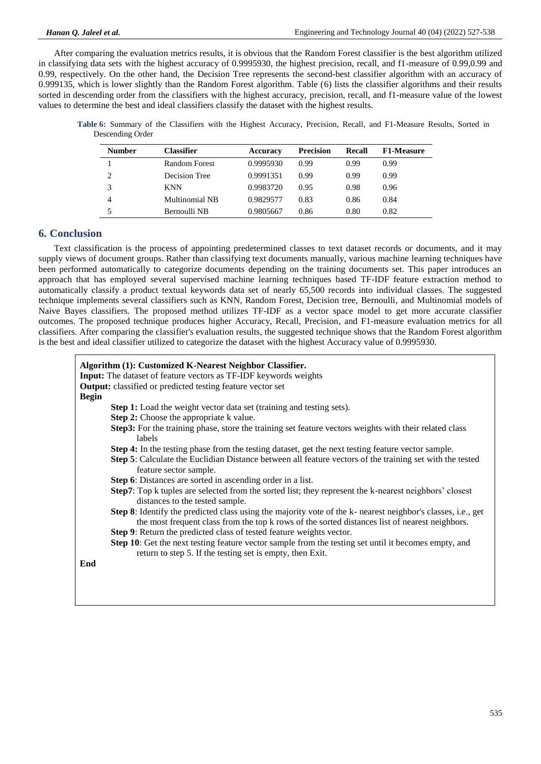After comparing the evaluation metrics results, it is obvious that the Random Forest classifier is the best algorithm utilized in classifying data sets with the highest accuracy of 0.9995930, the highest precision, recall, and f1-measure of 0.99,0.99 and 0.99, respectively. On the other hand, the Decision Tree represents the second-best classifier algorithm with an accuracy of 0.999135, which is lower slightly than the Random Forest algorithm. Table (6) lists the classifier algorithms and their results sorted in descending order from the classifiers with the highest accuracy, precision, recall, and f1-measure value of the lowest values to determine the best and ideal classifiers classify the dataset with the highest results.

**Table 6:** Summary of the Classifiers with the Highest Accuracy, Precision, Recall, and F1-Measure Results, Sorted in Descending Order

| <b>Number</b> | <b>Classifier</b> | <b>Accuracy</b> | <b>Precision</b> | <b>Recall</b> | <b>F1-Measure</b> |
|---------------|-------------------|-----------------|------------------|---------------|-------------------|
|               | Random Forest     | 0.9995930       | 0.99             | 0.99          | 0.99              |
| 2             | Decision Tree     | 0.9991351       | 0.99             | 0.99          | 0.99              |
| 3             | <b>KNN</b>        | 0.9983720       | 0.95             | 0.98          | 0.96              |
| 4             | Multinomial NB    | 0.9829577       | 0.83             | 0.86          | 0.84              |
| 5             | Bernoulli NB      | 0.9805667       | 0.86             | 0.80          | 0.82              |

### **6. Conclusion**

Text classification is the process of appointing predetermined classes to text dataset records or documents, and it may supply views of document groups. Rather than classifying text documents manually, various machine learning techniques have been performed automatically to categorize documents depending on the training documents set. This paper introduces an approach that has employed several supervised machine learning techniques based TF-IDF feature extraction method to automatically classify a product textual keywords data set of nearly 65,500 records into individual classes. The suggested technique implements several classifiers such as KNN, Random Forest, Decision tree, Bernoulli, and Multinomial models of Naive Bayes classifiers. The proposed method utilizes TF-IDF as a vector space model to get more accurate classifier outcomes. The proposed technique produces higher Accuracy, Recall, Precision, and F1-measure evaluation metrics for all classifiers. After comparing the classifier's evaluation results, the suggested technique shows that the Random Forest algorithm is the best and ideal classifier utilized to categorize the dataset with the highest Accuracy value of 0.9995930.

| Algorithm (1): Customized K-Nearest Neighbor Classifier.                                                                                                                                                              |
|-----------------------------------------------------------------------------------------------------------------------------------------------------------------------------------------------------------------------|
| <b>Input:</b> The dataset of feature vectors as TF-IDF keywords weights                                                                                                                                               |
| <b>Output:</b> classified or predicted testing feature vector set                                                                                                                                                     |
| <b>Begin</b>                                                                                                                                                                                                          |
| <b>Step 1:</b> Load the weight vector data set (training and testing sets).                                                                                                                                           |
| Step 2: Choose the appropriate k value.                                                                                                                                                                               |
| Step3: For the training phase, store the training set feature vectors weights with their related class<br>labels                                                                                                      |
| <b>Step 4:</b> In the testing phase from the testing dataset, get the next testing feature vector sample.                                                                                                             |
| <b>Step 5:</b> Calculate the Euclidian Distance between all feature vectors of the training set with the tested<br>feature sector sample.                                                                             |
| Step 6: Distances are sorted in ascending order in a list.                                                                                                                                                            |
| <b>Step7</b> : Top k tuples are selected from the sorted list; they represent the k-nearest neighbors' closest<br>distances to the tested sample.                                                                     |
| <b>Step 8:</b> Identify the predicted class using the majority vote of the k- nearest neighbor's classes, i.e., get<br>the most frequent class from the top k rows of the sorted distances list of nearest neighbors. |
| Step 9: Return the predicted class of tested feature weights vector.                                                                                                                                                  |
| Step 10: Get the next testing feature vector sample from the testing set until it becomes empty, and<br>return to step 5. If the testing set is empty, then Exit.                                                     |
| End                                                                                                                                                                                                                   |
|                                                                                                                                                                                                                       |
|                                                                                                                                                                                                                       |
|                                                                                                                                                                                                                       |
|                                                                                                                                                                                                                       |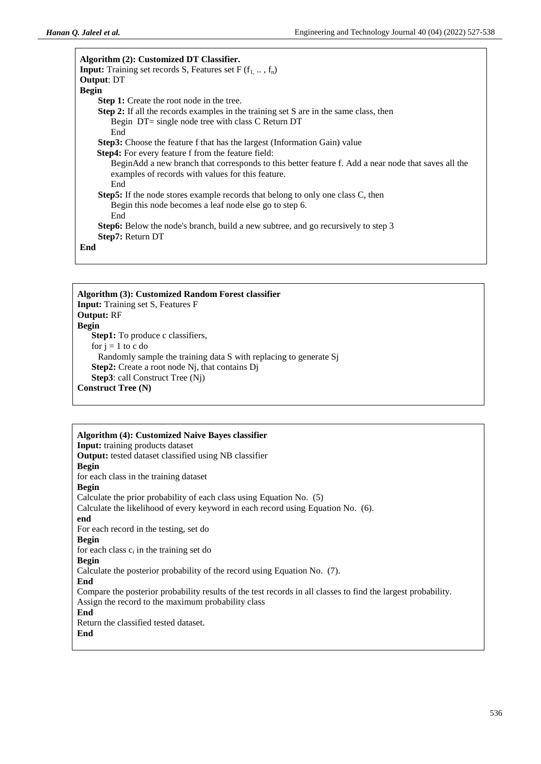| Algorithm (2): Customized DT Classifier.                                                            |
|-----------------------------------------------------------------------------------------------------|
|                                                                                                     |
| <b>Input:</b> Training set records S, Features set F $(f_1, \ldots, f_n)$                           |
| <b>Output: DT</b>                                                                                   |
| <b>Begin</b>                                                                                        |
| <b>Step 1:</b> Create the root node in the tree.                                                    |
| <b>Step 2:</b> If all the records examples in the training set S are in the same class, then        |
| Begin DT= single node tree with class C Return DT                                                   |
| End                                                                                                 |
| <b>Step3:</b> Choose the feature f that has the largest (Information Gain) value                    |
| <b>Step4:</b> For every feature f from the feature field:                                           |
| BeginAdd a new branch that corresponds to this better feature f. Add a near node that saves all the |
| examples of records with values for this feature.                                                   |
| End                                                                                                 |
| <b>Step5:</b> If the node stores example records that belong to only one class C, then              |
| Begin this node becomes a leaf node else go to step 6.                                              |
| End                                                                                                 |
| <b>Step6:</b> Below the node's branch, build a new subtree, and go recursively to step 3            |
| <b>Step7: Return DT</b>                                                                             |
| End                                                                                                 |
|                                                                                                     |

**Algorithm (3): Customized Random Forest classifier Input:** Training set S, Features F **Output:** RF **Begin Step1:** To produce c classifiers, for  $i = 1$  to c do Randomly sample the training data S with replacing to generate Sj **Step2:** Create a root node Nj, that contains Dj **Step3**: call Construct Tree (Nj) **Construct Tree (N)**

### **Algorithm (4): Customized Naive Bayes classifier**

**Input:** training products dataset **Output:** tested dataset classified using NB classifier **Begin** for each class in the training dataset **Begin** Calculate the prior probability of each class using Equation No. (5) Calculate the likelihood of every keyword in each record using Equation No. (6). **end** For each record in the testing, set do **Begin** for each class  $c_i$  in the training set do **Begin** Calculate the posterior probability of the record using Equation No. (7). **End** Compare the posterior probability results of the test records in all classes to find the largest probability. Assign the record to the maximum probability class **End** Return the classified tested dataset. **End**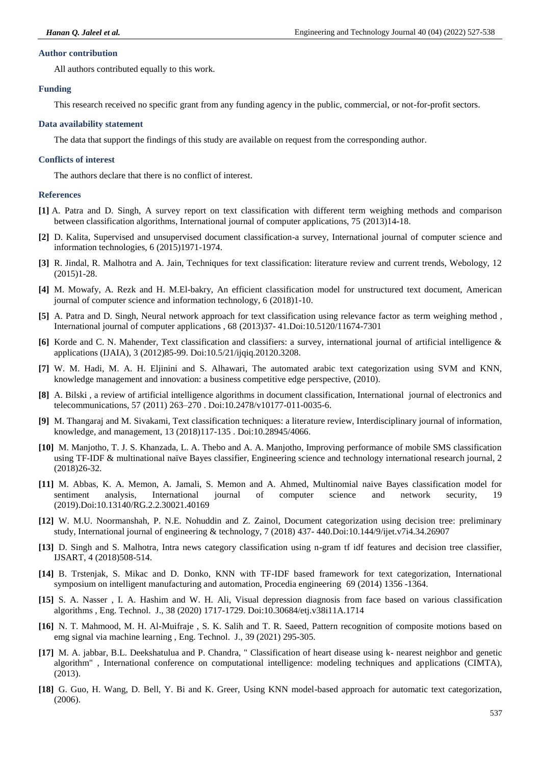### **Author contribution**

All authors contributed equally to this work.

### **Funding**

This research received no specific grant from any funding agency in the public, commercial, or not-for-profit sectors.

### **Data availability statement**

The data that support the findings of this study are available on request from the corresponding author.

#### **Conflicts of interest**

The authors declare that there is no conflict of interest.

#### **References**

- **[1]** A. Patra and D. Singh, A survey report on text classification with different term weighing methods and comparison between classification algorithms, International journal of computer applications, 75 (2013)14-18.
- **[2]** D. Kalita, Supervised and unsupervised document classification-a survey, International journal of computer science and information technologies, 6 (2015)1971-1974.
- **[3]** R. Jindal, R. Malhotra and A. Jain, Techniques for text classification: literature review and current trends, Webology, 12 (2015)1-28.
- **[4]** M. Mowafy, A. Rezk and H. M.El-bakry, An efficient classification model for unstructured text document, American journal of computer science and information technology, 6 (2018)1-10.
- **[5]** A. Patra and D. Singh, Neural network approach for text classification using relevance factor as term weighing method , International journal of computer applications , 68 (2013)37- 41.Doi:10.5120/11674-7301
- **[6]** Korde and C. N. Mahender, Text classification and classifiers: a survey, international journal of artificial intelligence & applications (IJAIA), 3 (2012)85-99. Doi:10.5/21/ijqiq.20120.3208.
- **[7]** W. M. Hadi, M. A. H. Eljinini and S. Alhawari, The automated arabic text categorization using SVM and KNN, knowledge management and innovation: a business competitive edge perspective, (2010).
- **[8]** A. Bilski , a review of artificial intelligence algorithms in document classification, International journal of electronics and telecommunications, 57 (2011) 263–270 . Doi:10.2478/v10177-011-0035-6.
- **[9]** M. Thangaraj and M. Sivakami, Text classification techniques: a literature review, Interdisciplinary journal of information, knowledge, and management, 13 (2018)117-135 . Doi:10.28945/4066.
- **[10]** M. Manjotho, T. J. S. Khanzada, L. A. Thebo and A. A. Manjotho, Improving performance of mobile SMS classification using TF-IDF & multinational naïve Bayes classifier, Engineering science and technology international research journal, 2 (2018)26-32.
- **[11]** M. Abbas, K. A. Memon, A. Jamali, S. Memon and A. Ahmed, Multinomial naive Bayes classification model for sentiment analysis, International journal of computer science and network security, 19 (2019).Doi:10.13140/RG.2.2.30021.40169
- **[12]** W. M.U. Noormanshah, P. N.E. Nohuddin and Z. Zainol, Document categorization using decision tree: preliminary study, International journal of engineering & technology, 7 (2018) 437- 440.Doi:10.144/9/ijet.v7i4.34.26907
- **[13]** D. Singh and S. Malhotra, Intra news category classification using n-gram tf idf features and decision tree classifier, IJSART, 4 (2018)508-514.
- **[14]** B. Trstenjak, S. Mikac and D. Donko, KNN with TF-IDF based framework for text categorization, International symposium on intelligent manufacturing and automation, Procedia engineering 69 (2014) 1356 -1364.
- **[15]** S. A. Nasser , I. A. Hashim and W. H. Ali, Visual depression diagnosis from face based on various classification algorithms , Eng. Technol. J., 38 (2020) 1717-1729. Doi:10.30684/etj.v38i11A.1714
- **[16]** N. T. Mahmood, M. H. Al-Muifraje , S. K. Salih and T. R. Saeed, Pattern recognition of composite motions based on emg signal via machine learning , Eng. Technol. J., 39 (2021) 295-305.
- **[17]** M. A. jabbar, B.L. Deekshatulua and P. Chandra, " Classification of heart disease using k- nearest neighbor and genetic algorithm" , International conference on computational intelligence: modeling techniques and applications (CIMTA), (2013).
- **[18]** G. Guo, H. Wang, D. Bell, Y. Bi and K. Greer, Using KNN model-based approach for automatic text categorization, (2006).